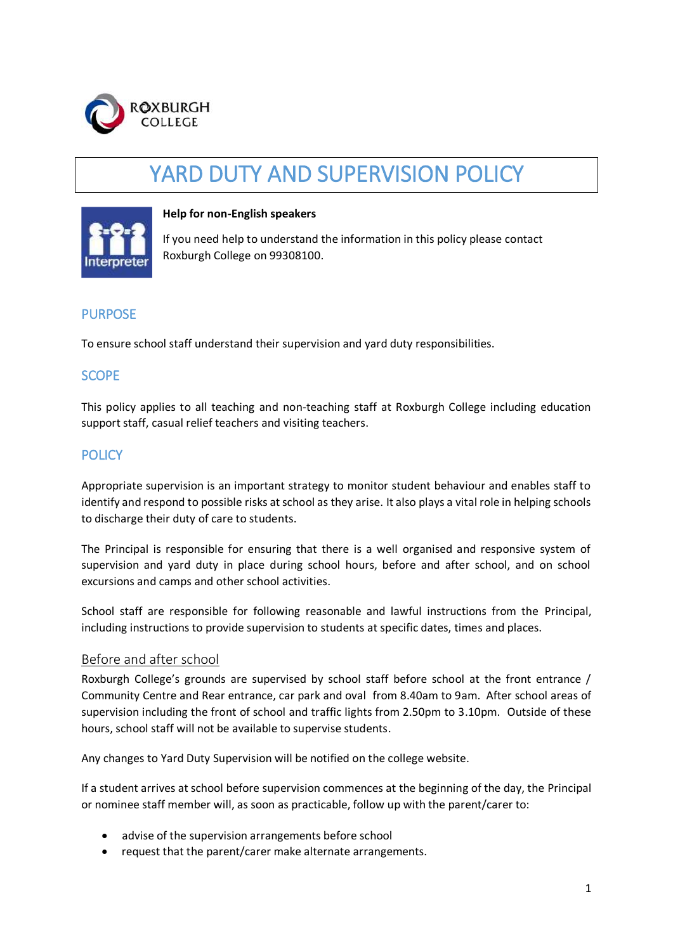

# YARD DUTY AND SUPERVISION POLICY



#### **Help for non-English speakers**

If you need help to understand the information in this policy please contact Roxburgh College on 99308100.

# **PURPOSE**

To ensure school staff understand their supervision and yard duty responsibilities.

# SCOPE

This policy applies to all teaching and non-teaching staff at Roxburgh College including education support staff, casual relief teachers and visiting teachers.

# **POLICY**

Appropriate supervision is an important strategy to monitor student behaviour and enables staff to identify and respond to possible risks at school as they arise. It also plays a vital role in helping schools to discharge their duty of care to students.

The Principal is responsible for ensuring that there is a well organised and responsive system of supervision and yard duty in place during school hours, before and after school, and on school excursions and camps and other school activities.

School staff are responsible for following reasonable and lawful instructions from the Principal, including instructions to provide supervision to students at specific dates, times and places.

## Before and after school

Roxburgh College's grounds are supervised by school staff before school at the front entrance / Community Centre and Rear entrance, car park and oval from 8.40am to 9am. After school areas of supervision including the front of school and traffic lights from 2.50pm to 3.10pm. Outside of these hours, school staff will not be available to supervise students.

Any changes to Yard Duty Supervision will be notified on the college website.

If a student arrives at school before supervision commences at the beginning of the day, the Principal or nominee staff member will, as soon as practicable, follow up with the parent/carer to:

- advise of the supervision arrangements before school
- request that the parent/carer make alternate arrangements.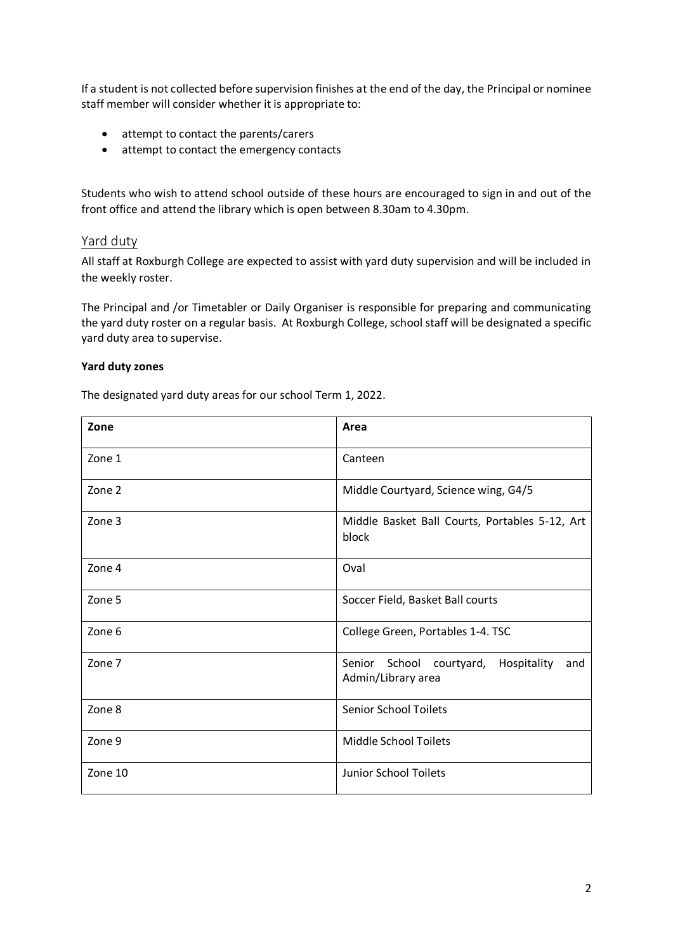If a student is not collected before supervision finishes at the end of the day, the Principal or nominee staff member will consider whether it is appropriate to:

- attempt to contact the parents/carers
- attempt to contact the emergency contacts

Students who wish to attend school outside of these hours are encouraged to sign in and out of the front office and attend the library which is open between 8.30am to 4.30pm.

## Yard duty

All staff at Roxburgh College are expected to assist with yard duty supervision and will be included in the weekly roster.

The Principal and /or Timetabler or Daily Organiser is responsible for preparing and communicating the yard duty roster on a regular basis. At Roxburgh College, school staff will be designated a specific yard duty area to supervise.

#### **Yard duty zones**

The designated yard duty areas for our school Term 1, 2022.

| Zone    | Area                                                                       |
|---------|----------------------------------------------------------------------------|
| Zone 1  | Canteen                                                                    |
| Zone 2  | Middle Courtyard, Science wing, G4/5                                       |
| Zone 3  | Middle Basket Ball Courts, Portables 5-12, Art<br>block                    |
| Zone 4  | Oval                                                                       |
| Zone 5  | Soccer Field, Basket Ball courts                                           |
| Zone 6  | College Green, Portables 1-4. TSC                                          |
| Zone 7  | Senior<br>School<br>courtyard,<br>Hospitality<br>and<br>Admin/Library area |
| Zone 8  | <b>Senior School Toilets</b>                                               |
| Zone 9  | <b>Middle School Toilets</b>                                               |
| Zone 10 | <b>Junior School Toilets</b>                                               |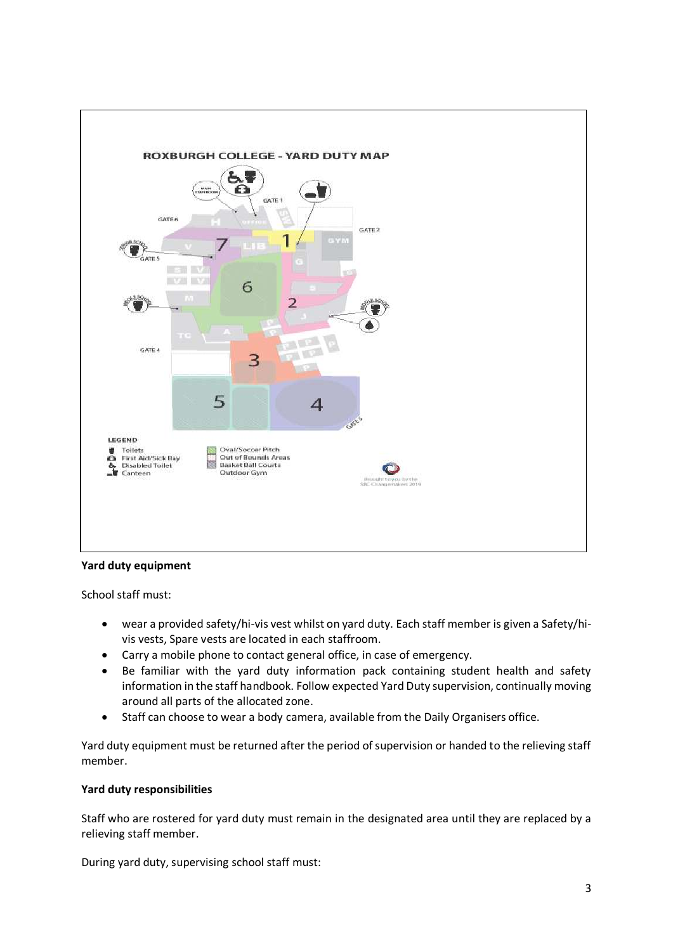

#### **Yard duty equipment**

School staff must:

- wear a provided safety/hi-vis vest whilst on yard duty. Each staff member is given a Safety/hivis vests, Spare vests are located in each staffroom.
- Carry a mobile phone to contact general office, in case of emergency.
- Be familiar with the yard duty information pack containing student health and safety information in the staff handbook. Follow expected Yard Duty supervision, continually moving around all parts of the allocated zone.
- Staff can choose to wear a body camera, available from the Daily Organisers office.

Yard duty equipment must be returned after the period of supervision or handed to the relieving staff member.

#### **Yard duty responsibilities**

Staff who are rostered for yard duty must remain in the designated area until they are replaced by a relieving staff member.

During yard duty, supervising school staff must: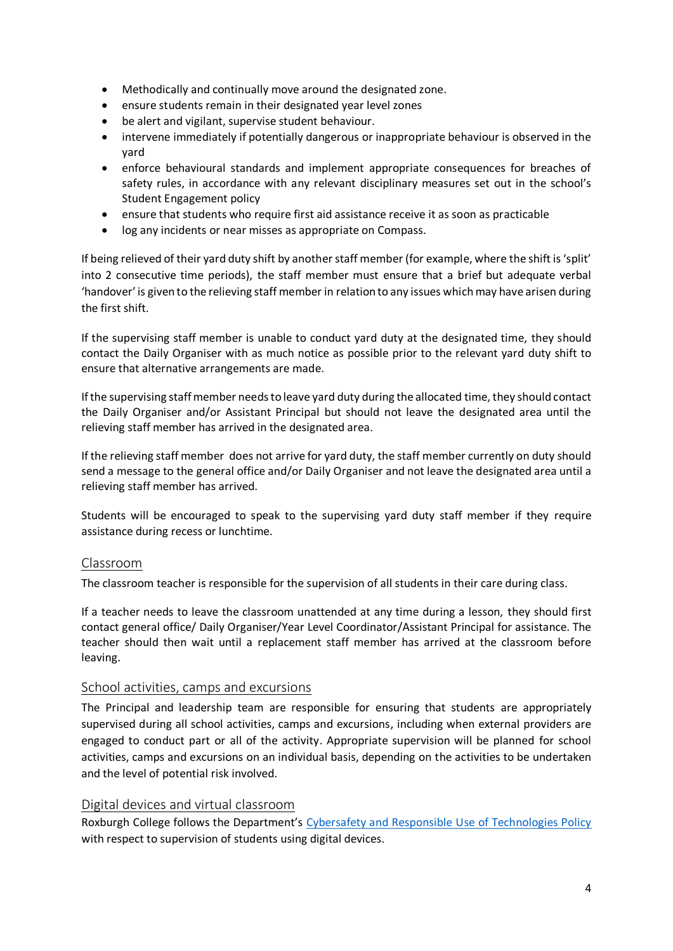- Methodically and continually move around the designated zone.
- ensure students remain in their designated year level zones
- be alert and vigilant, supervise student behaviour.
- intervene immediately if potentially dangerous or inappropriate behaviour is observed in the yard
- enforce behavioural standards and implement appropriate consequences for breaches of safety rules, in accordance with any relevant disciplinary measures set out in the school's Student Engagement policy
- ensure that students who require first aid assistance receive it as soon as practicable
- log any incidents or near misses as appropriate on Compass.

If being relieved of their yard duty shift by another staff member (for example, where the shift is 'split' into 2 consecutive time periods), the staff member must ensure that a brief but adequate verbal 'handover' is given to the relieving staff member in relation to any issues which may have arisen during the first shift.

If the supervising staff member is unable to conduct yard duty at the designated time, they should contact the Daily Organiser with as much notice as possible prior to the relevant yard duty shift to ensure that alternative arrangements are made.

If the supervising staff member needs to leave yard duty during the allocated time, they should contact the Daily Organiser and/or Assistant Principal but should not leave the designated area until the relieving staff member has arrived in the designated area.

If the relieving staff member does not arrive for yard duty, the staff member currently on duty should send a message to the general office and/or Daily Organiser and not leave the designated area until a relieving staff member has arrived.

Students will be encouraged to speak to the supervising yard duty staff member if they require assistance during recess or lunchtime.

## Classroom

The classroom teacher is responsible for the supervision of all students in their care during class.

If a teacher needs to leave the classroom unattended at any time during a lesson, they should first contact general office/ Daily Organiser/Year Level Coordinator/Assistant Principal for assistance. The teacher should then wait until a replacement staff member has arrived at the classroom before leaving.

#### School activities, camps and excursions

The Principal and leadership team are responsible for ensuring that students are appropriately supervised during all school activities, camps and excursions, including when external providers are engaged to conduct part or all of the activity. Appropriate supervision will be planned for school activities, camps and excursions on an individual basis, depending on the activities to be undertaken and the level of potential risk involved.

## Digital devices and virtual classroom

Roxburgh College follows the Department's [Cybersafety and Responsible Use of Technologies Policy](https://www2.education.vic.gov.au/pal/cybersafety/policy) with respect to supervision of students using digital devices.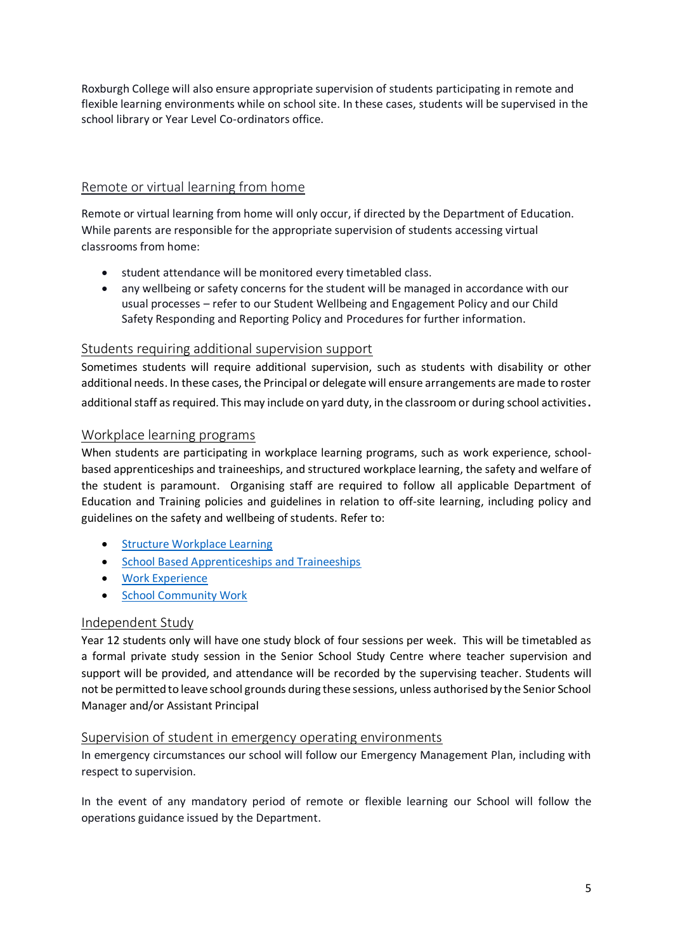Roxburgh College will also ensure appropriate supervision of students participating in remote and flexible learning environments while on school site. In these cases, students will be supervised in the school library or Year Level Co-ordinators office.

# Remote or virtual learning from home

Remote or virtual learning from home will only occur, if directed by the Department of Education. While parents are responsible for the appropriate supervision of students accessing virtual classrooms from home:

- student attendance will be monitored every timetabled class.
- any wellbeing or safety concerns for the student will be managed in accordance with our usual processes – refer to our Student Wellbeing and Engagement Policy and our Child Safety Responding and Reporting Policy and Procedures for further information.

## Students requiring additional supervision support

Sometimes students will require additional supervision, such as students with disability or other additional needs. In these cases, the Principal or delegate will ensure arrangements are made to roster additional staff as required. This may include on vard duty, in the classroom or during school activities.

## Workplace learning programs

When students are participating in workplace learning programs, such as work experience, schoolbased apprenticeships and traineeships, and structured workplace learning, the safety and welfare of the student is paramount. Organising staff are required to follow all applicable Department of Education and Training policies and guidelines in relation to off-site learning, including policy and guidelines on the safety and wellbeing of students. Refer to:

- [Structure Workplace Learning](https://www2.education.vic.gov.au/pal/structured-workplace-learning/policy)
- **•** [School Based Apprenticeships and Traineeships](https://www2.education.vic.gov.au/pal/school-based-apprenticeships-and-traineeships/policy)
- [Work Experience](https://www2.education.vic.gov.au/pal/work-experience/policy)
- **[School Community Work](https://www2.education.vic.gov.au/pal/school-community-work/policy)**

# Independent Study

Year 12 students only will have one study block of four sessions per week. This will be timetabled as a formal private study session in the Senior School Study Centre where teacher supervision and support will be provided, and attendance will be recorded by the supervising teacher. Students will not be permitted to leave school grounds during these sessions, unless authorised by the Senior School Manager and/or Assistant Principal

## Supervision of student in emergency operating environments

In emergency circumstances our school will follow our Emergency Management Plan, including with respect to supervision.

In the event of any mandatory period of remote or flexible learning our School will follow the operations guidance issued by the Department.